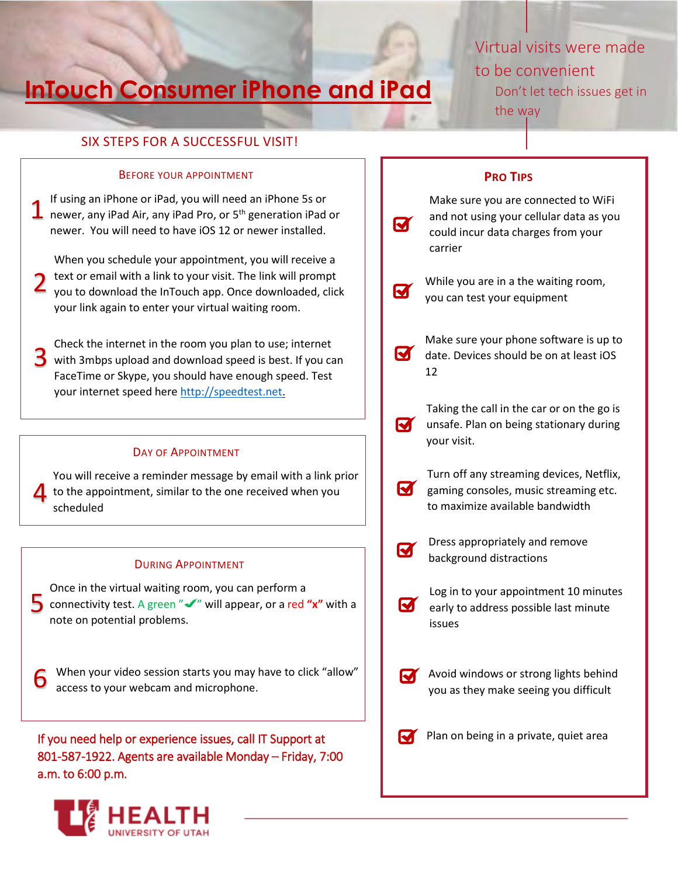# **InTouch Consumer iPhone and iPad**

# Virtual visits were made to be convenient Don't let tech issues get in

the way

## SIX STEPS FOR A SUCCESSFUL VISIT!

### BEFORE YOUR APPOINTMENT

If using an iPhone or iPad, you will need an iPhone 5s or If using an iPhone or iPad, you will need an iPhone 5s or  $\mathbf 1$  newer, any iPad Air, any iPad Pro, or  $5^{\text{th}}$  generation iPad or newer. You will need to have iOS 12 or newer installed.

When you schedule your appointment, you will receive a text or email with a link to your visit. The link will prompt you to download the InTouch app. Once downloaded, click your link again to enter your virtual waiting room. 2

Check the internet in the room you plan to use; internet 3 with 3mbps upload and download speed is best. If you can FaceTime or Skype, you should have enough speed. Test your internet speed here http://speedtest.net.

### DAY OF APPOINTMENT

You will receive a reminder message by email with a link prior to the appointment, similar to the one received when you scheduled 4

### DURING APPOINTMENT

Once in the virtual waiting room, you can perform a Some the virtual water point, you can perform a<br>
some connectivity test. A green " $\checkmark$ " will appear, or a red "x" with a note on potential problems.

When your video session starts you may have to click "allow" access to your webcam and microphone.

If you need help or experience issues, call IT Support at 801-587-1922. Agents are available Monday – Friday, 7:00 a.m. to 6:00 p.m.



## **PRO TIPS**

**M** 

Make sure you are connected to WiFi and not using your cellular data as you could incur data charges from your carrier

While you are in a the waiting room, **M** you can test your equipment

Make sure your phone software is up to **M** date. Devices should be on at least iOS 12

Taking the call in the car or on the go is **V** unsafe. Plan on being stationary during your visit.

- Turn off any streaming devices, Netflix,  $\blacksquare$ gaming consoles, music streaming etc. to maximize available bandwidth
- Dress appropriately and remove स्रि background distractions
- Log in to your appointment 10 minutes М. early to address possible last minute issues
- Avoid windows or strong lights behind you as they make seeing you difficult

 $\blacksquare$  Plan on being in a private, quiet area